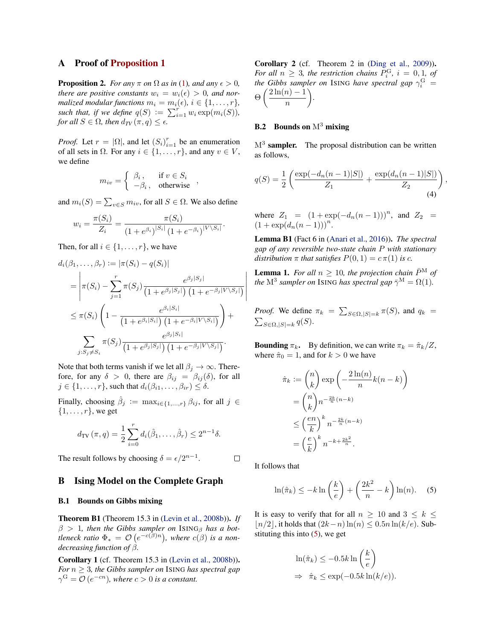# A Proof of [Proposition 1](#page--1-0)

**Proposition 2.** *For any*  $\pi$  *on*  $\Omega$  *as in* [\(1\)](#page--1-1)*, and any*  $\epsilon > 0$ *, there are positive constants*  $w_i = w_i(\epsilon) > 0$ *, and normalized modular functions*  $m_i = m_i(\epsilon), i \in \{1, \ldots, r\},$ *such that, if we define*  $q(S) := \sum_{i=1}^r w_i \exp(m_i(S)),$ *for all*  $S \in \Omega$ *, then*  $d_{TV}(\pi, q) \leq \epsilon$ *.* 

*Proof.* Let  $r = |\Omega|$ , and let  $(S_i)_{i=1}^r$  be an enumeration of all sets in  $\Omega$ . For any  $i \in \{1, \ldots, r\}$ , and any  $v \in V$ , we define

$$
m_{iv} = \begin{cases} \beta_i, & \text{if } v \in S_i \\ -\beta_i, & \text{otherwise} \end{cases}
$$

and  $m_i(S) = \sum_{v \in S} m_{iv}$ , for all  $S \in \Omega$ . We also define

$$
w_i = \frac{\pi(S_i)}{Z_i} = \frac{\pi(S_i)}{(1 + e^{\beta_i})^{|S_i|} (1 + e^{-\beta_i})^{|V \setminus S_i|}}.
$$

Then, for all  $i \in \{1, \ldots, r\}$ , we have

$$
d_i(\beta_1, ..., \beta_r) := |\pi(S_i) - q(S_i)|
$$
  
\n
$$
= \left| \pi(S_i) - \sum_{j=1}^r \pi(S_j) \frac{e^{\beta_j |S_j|}}{(1 + e^{\beta_j |S_j|}) (1 + e^{-\beta_j |V \setminus S_j|})} \right|
$$
  
\n
$$
\leq \pi(S_i) \left( 1 - \frac{e^{\beta_i |S_i|}}{(1 + e^{\beta_i |S_i|}) (1 + e^{-\beta_i |V \setminus S_i|})} \right) +
$$
  
\n
$$
\sum_{j: S_j \neq S_i} \pi(S_j) \frac{e^{\beta_j |S_i|}}{(1 + e^{\beta_j |S_j|}) (1 + e^{-\beta_j |V \setminus S_j|})}.
$$

Note that both terms vanish if we let all  $\beta_i \to \infty$ . Therefore, for any  $\delta > 0$ , there are  $\beta_{ij} = \beta_{ij}(\delta)$ , for all  $j \in \{1, \ldots, r\}$ , such that  $d_i(\beta_{i1}, \ldots, \beta_{ir}) \leq \delta$ .

Finally, choosing  $\hat{\beta}_j := \max_{i \in \{1, ..., r\}} \beta_{ij}$ , for all  $j \in$  $\{1, \ldots, r\}$ , we get

$$
d_{\text{TV}}(\pi, q) = \frac{1}{2} \sum_{i=0}^{r} d_i(\hat{\beta}_1, \dots, \hat{\beta}_r) \le 2^{n-1} \delta.
$$

The result follows by choosing  $\delta = \epsilon/2^{n-1}$ .

 $\Box$ 

# B Ising Model on the Complete Graph

#### B.1 Bounds on Gibbs mixing

Theorem B1 (Theorem 15.3 in [\(Levin et al.,](#page--1-2) [2008b\)](#page--1-2)). *If*  $\beta > 1$ , then the Gibbs sampler on ISING<sub>β</sub> has a bot*tleneck ratio*  $\Phi_* = \mathcal{O}\left(e^{-c(\beta)n}\right)$ , where  $c(\beta)$  is a non*decreasing function of* β*.*

Corollary 1 (cf. Theorem 15.3 in [\(Levin et al.,](#page--1-2) [2008b\)](#page--1-2)). *For*  $n \geq 3$ *, the Gibbs sampler on* ISING *has spectral gap*  $\gamma^{\rm G} = \mathcal{O}\left(e^{-cn}\right)$ , where  $c > 0$  is a constant.

Corollary 2 (cf. Theorem 2 in [\(Ding et al.,](#page--1-3) [2009\)](#page--1-3)). *For all*  $n \geq 3$ *, the restriction chains*  $P_i^{\text{G}}$ *, i* = 0, 1*, of the Gibbs sampler on* ISING *have spectral gap*  $\gamma_i^{\rm G}$  =  $\Theta\left(\frac{2\ln(n)-1}{n}\right)$ n  $\setminus$ *.*

## **B.2** Bounds on  $M^3$  mixing

 $M<sup>3</sup>$  sampler. The proposal distribution can be written as follows,

<span id="page-0-1"></span>
$$
q(S) = \frac{1}{2} \left( \frac{\exp(-d_n(n-1)|S|)}{Z_1} + \frac{\exp(d_n(n-1)|S|)}{Z_2} \right),\tag{4}
$$

where  $Z_1 = (1 + \exp(-d_n(n-1)))^n$ , and  $Z_2 =$  $(1 + \exp(d_n(n-1)))^n$ .

Lemma B1 (Fact 6 in [\(Anari et al.,](#page--1-4) [2016\)](#page--1-4)). *The spectral gap of any reversible two-state chain* P *with stationary distribution*  $\pi$  *that satisfies*  $P(0, 1) = c \pi(1)$  *is c.* 

**Lemma 1.** For all  $n > 10$ , the projection chain  $\bar{P}^{\text{M}}$  of *the*  $M^3$  *sampler on* ISING *has spectral gap*  $\bar{\gamma}^M = \Omega(1)$ *.* 

*Proof.* We define  $\pi_k = \sum_{S \in \Omega, |S| = k} \pi(S)$ , and  $q_k =$  $\sum_{S \in \Omega, |S|=k} q(S).$ 

**Bounding**  $\pi_k$ . By definition, we can write  $\pi_k = \hat{\pi}_k/Z$ , where  $\hat{\pi}_0 = 1$ , and for  $k > 0$  we have

$$
\hat{\pi}_k := \binom{n}{k} \exp\left(-\frac{2\ln(n)}{n}k(n-k)\right)
$$

$$
= \binom{n}{k} n^{-\frac{2k}{n}(n-k)}
$$

$$
\leq \left(\frac{en}{k}\right)^k n^{-\frac{2k}{n}(n-k)}
$$

$$
= \left(\frac{e}{k}\right)^k n^{-k + \frac{2k^2}{n}}.
$$

It follows that

<span id="page-0-0"></span>
$$
\ln(\hat{\pi}_k) \le -k \ln\left(\frac{k}{e}\right) + \left(\frac{2k^2}{n} - k\right) \ln(n). \quad (5)
$$

It is easy to verify that for all  $n \geq 10$  and  $3 \leq k \leq$  $\ln(2)$ , it holds that  $(2k-n) \ln(n) \leq 0.5n \ln(k/e)$ . Substituting this into [\(5\)](#page-0-0), we get

$$
\ln(\hat{\pi}_k) \le -0.5k \ln\left(\frac{k}{e}\right)
$$
  
\n
$$
\Rightarrow \hat{\pi}_k \le \exp(-0.5k \ln(k/e)).
$$